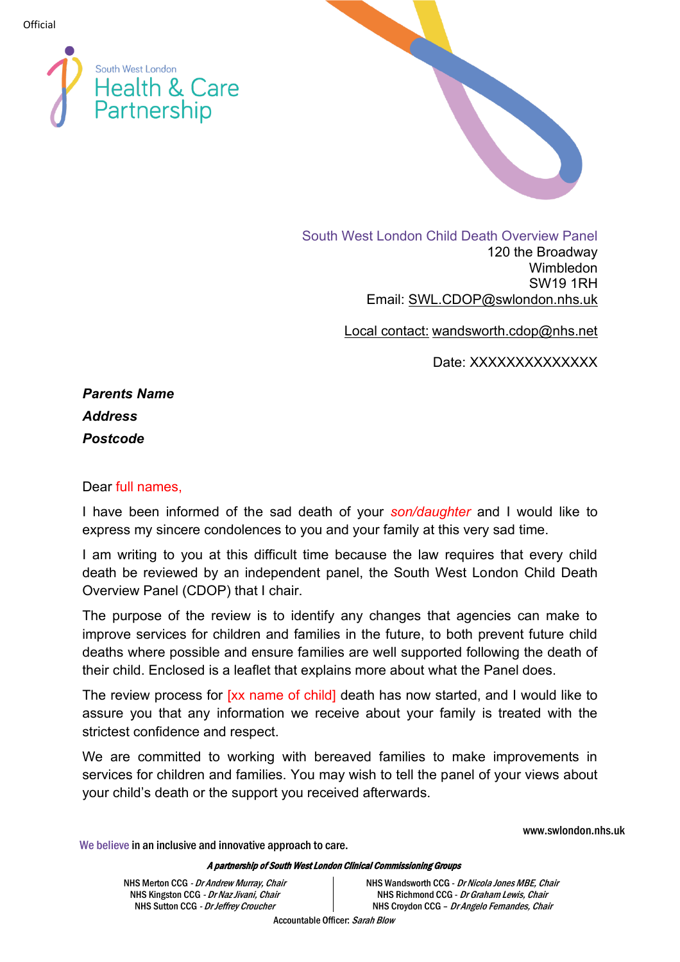



South West London Child Death Overview Panel 120 the Broadway **Wimbledon** SW19 1RH Email: [SWL.CDOP@swlondon.nhs.uk](mailto:SWL.CDOP@swlondon.nhs.uk)

Local contact: wandsworth.cdop@nhs.net

Date: XXXXXXXXXXXXX

*Parents Name Address Postcode* 

## Dear full names,

I have been informed of the sad death of your *son/daughter* and I would like to express my sincere condolences to you and your family at this very sad time.

I am writing to you at this difficult time because the law requires that every child death be reviewed by an independent panel, the South West London Child Death Overview Panel (CDOP) that I chair.

The purpose of the review is to identify any changes that agencies can make to improve services for children and families in the future, to both prevent future child deaths where possible and ensure families are well supported following the death of their child. Enclosed is a leaflet that explains more about what the Panel does.

The review process for [xx name of child] death has now started, and I would like to assure you that any information we receive about your family is treated with the strictest confidence and respect.

We are committed to working with bereaved families to make improvements in services for children and families. You may wish to tell the panel of your views about your child's death or the support you received afterwards.

www.swlondon.nhs.uk

We believe in an inclusive and innovative approach to care.

## A partnership of South West London Clinical Commissioning Groups